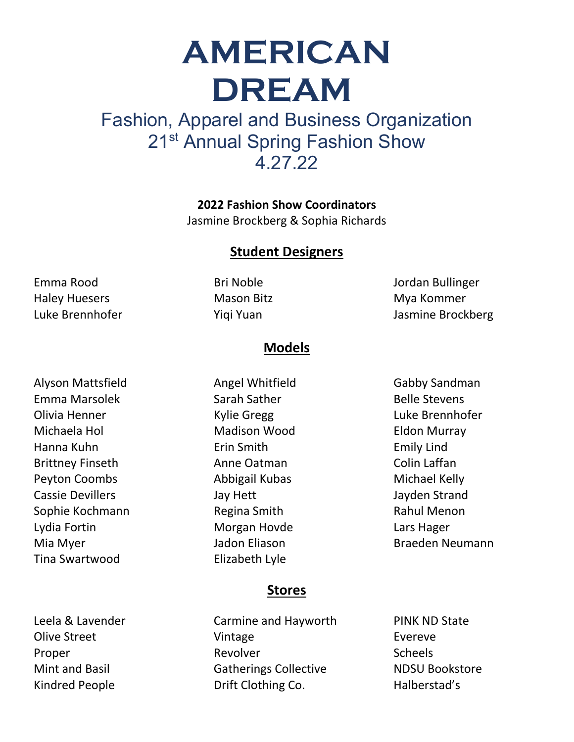# **AMERICAN DREAM**

## Fashion, Apparel and Business Organization 21<sup>st</sup> Annual Spring Fashion Show 4.27.22

**2022 Fashion Show Coordinators** Jasmine Brockberg & Sophia Richards

#### **Student Designers**

Emma Rood Haley Huesers Luke Brennhofer

Alyson Mattsfield Emma Marsolek Olivia Henner Michaela Hol Hanna Kuhn Brittney Finseth Peyton Coombs Cassie Devillers Sophie Kochmann Lydia Fortin Mia Myer Tina Swartwood

Leela & Lavender Olive Street Proper Mint and Basil Kindred People

Bri Noble Mason Bitz Yiqi Yuan

Jordan Bullinger Mya Kommer Jasmine Brockberg

#### **Models**

Angel Whitfield Sarah Sather Kylie Gregg Madison Wood Erin Smith Anne Oatman Abbigail Kubas Jay Hett Regina Smith Morgan Hovde Jadon Eliason Elizabeth Lyle

Gabby Sandman Belle Stevens Luke Brennhofer Eldon Murray Emily Lind Colin Laffan Michael Kelly Jayden Strand Rahul Menon Lars Hager Braeden Neumann

#### **Stores**

Carmine and Hayworth Vintage Revolver Gatherings Collective Drift Clothing Co.

PINK ND State Evereve Scheels NDSU Bookstore Halberstad's